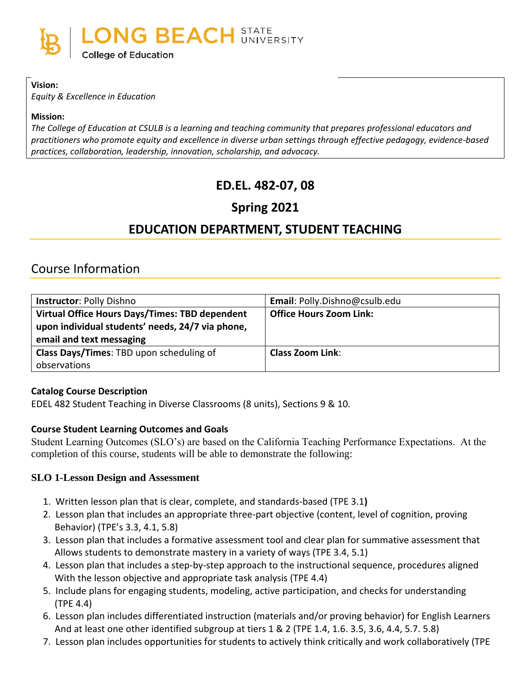

### **Vision:**

*Equity & Excellence in Education*

#### **Mission:**

*The College of Education at CSULB is a learning and teaching community that prepares professional educators and practitioners who promote equity and excellence in diverse urban settings through effective pedagogy, evidence-based practices, collaboration, leadership, innovation, scholarship, and advocacy.*

# **ED.EL. 482-07, 08**

# **Spring 2021**

# **EDUCATION DEPARTMENT, STUDENT TEACHING**

# Course Information

| <b>Instructor: Polly Dishno</b>                                                                                                | Email: Polly.Dishno@csulb.edu  |
|--------------------------------------------------------------------------------------------------------------------------------|--------------------------------|
| Virtual Office Hours Days/Times: TBD dependent<br>upon individual students' needs, 24/7 via phone,<br>email and text messaging | <b>Office Hours Zoom Link:</b> |
| Class Days/Times: TBD upon scheduling of<br>observations                                                                       | <b>Class Zoom Link:</b>        |

### **Catalog Course Description**

EDEL 482 Student Teaching in Diverse Classrooms (8 units), Sections 9 & 10.

### **Course Student Learning Outcomes and Goals**

Student Learning Outcomes (SLO's) are based on the California Teaching Performance Expectations. At the completion of this course, students will be able to demonstrate the following:

#### **SLO 1-Lesson Design and Assessment**

- 1. Written lesson plan that is clear, complete, and standards-based (TPE 3.1**)**
- 2. Lesson plan that includes an appropriate three-part objective (content, level of cognition, proving Behavior) (TPE's 3.3, 4.1, 5.8)
- 3. Lesson plan that includes a formative assessment tool and clear plan for summative assessment that Allows students to demonstrate mastery in a variety of ways (TPE 3.4, 5.1)
- 4. Lesson plan that includes a step-by-step approach to the instructional sequence, procedures aligned With the lesson objective and appropriate task analysis (TPE 4.4)
- 5. Include plans for engaging students, modeling, active participation, and checks for understanding (TPE 4.4)
- 6. Lesson plan includes differentiated instruction (materials and/or proving behavior) for English Learners And at least one other identified subgroup at tiers 1 & 2 (TPE 1.4, 1.6. 3.5, 3.6, 4.4, 5.7. 5.8)
- 7. Lesson plan includes opportunities for students to actively think critically and work collaboratively (TPE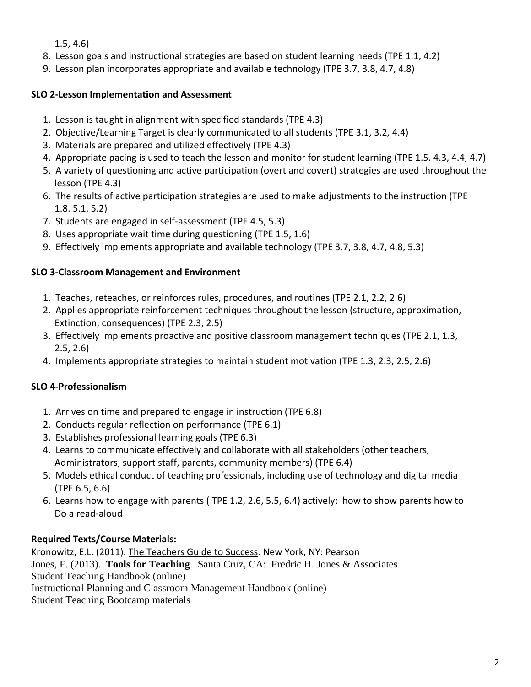1.5, 4.6)

- 8. Lesson goals and instructional strategies are based on student learning needs (TPE 1.1, 4.2)
- 9. Lesson plan incorporates appropriate and available technology (TPE 3.7, 3.8, 4.7, 4.8)

## **SLO 2-Lesson Implementation and Assessment**

- 1. Lesson is taught in alignment with specified standards (TPE 4.3)
- 2. Objective/Learning Target is clearly communicated to all students (TPE 3.1, 3.2, 4.4)
- 3. Materials are prepared and utilized effectively (TPE 4.3)
- 4. Appropriate pacing is used to teach the lesson and monitor for student learning (TPE 1.5. 4.3, 4.4, 4.7)
- 5. A variety of questioning and active participation (overt and covert) strategies are used throughout the lesson (TPE 4.3)
- 6. The results of active participation strategies are used to make adjustments to the instruction (TPE 1.8. 5.1, 5.2)
- 7. Students are engaged in self-assessment (TPE 4.5, 5.3)
- 8. Uses appropriate wait time during questioning (TPE 1.5, 1.6)
- 9. Effectively implements appropriate and available technology (TPE 3.7, 3.8, 4.7, 4.8, 5.3)

## **SLO 3-Classroom Management and Environment**

- 1. Teaches, reteaches, or reinforces rules, procedures, and routines (TPE 2.1, 2.2, 2.6)
- 2. Applies appropriate reinforcement techniques throughout the lesson (structure, approximation, Extinction, consequences) (TPE 2.3, 2.5)
- 3. Effectively implements proactive and positive classroom management techniques (TPE 2.1, 1.3, 2.5, 2.6)
- 4. Implements appropriate strategies to maintain student motivation (TPE 1.3, 2.3, 2.5, 2.6)

# **SLO 4-Professionalism**

- 1. Arrives on time and prepared to engage in instruction (TPE 6.8)
- 2. Conducts regular reflection on performance (TPE 6.1)
- 3. Establishes professional learning goals (TPE 6.3)
- 4. Learns to communicate effectively and collaborate with all stakeholders (other teachers, Administrators, support staff, parents, community members) (TPE 6.4)
- 5. Models ethical conduct of teaching professionals, including use of technology and digital media (TPE 6.5, 6.6)
- 6. Learns how to engage with parents ( TPE 1.2, 2.6, 5.5, 6.4) actively: how to show parents how to Do a read-aloud

# **Required Texts/Course Materials:**

Kronowitz, E.L. (2011). The Teachers Guide to Success. New York, NY: Pearson Jones, F. (2013). **Tools for Teaching**. Santa Cruz, CA: Fredric H. Jones & Associates Student Teaching Handbook (online) Instructional Planning and Classroom Management Handbook (online) Student Teaching Bootcamp materials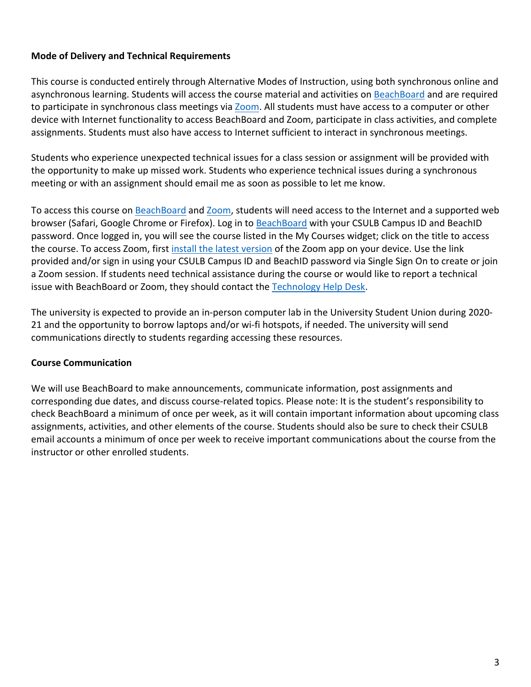### **Mode of Delivery and Technical Requirements**

This course is conducted entirely through Alternative Modes of Instruction, using both synchronous online and asynchronous learning. Students will access the course material and activities on [BeachBoard](https://bbcsulb.desire2learn.com/d2l/home) and are required to participate in synchronous class meetings via [Zoom.](https://csulb.zoom.us/meeting) All students must have access to a computer or other device with Internet functionality to access BeachBoard and Zoom, participate in class activities, and complete assignments. Students must also have access to Internet sufficient to interact in synchronous meetings.

Students who experience unexpected technical issues for a class session or assignment will be provided with the opportunity to make up missed work. Students who experience technical issues during a synchronous meeting or with an assignment should email me as soon as possible to let me know.

To access this course on BeachBoard and [Zoom,](https://csulb.zoom.us/meeting) students will need access to the Internet and a supported web browser (Safari, Google Chrome or Firefox). Log in to [BeachBoard](https://bbcsulb.desire2learn.com/) with your CSULB Campus ID and BeachID password. Once logged in, you will see the course listed in the My Courses widget; click on the title to access the course. To access Zoom, first [install the latest version](https://zoom.us/download) of the Zoom app on your device. Use the link provided and/or sign in using your CSULB Campus ID and BeachID password via Single Sign On to create or join a Zoom session. If students need technical assistance during the course or would like to report a technical issue with BeachBoard or Zoom, they should contact the [Technology Help Desk.](https://www.csulb.edu/academic-technology-services/academic-technology-resources-for-students)

The university is expected to provide an in-person computer lab in the University Student Union during 2020- 21 and the opportunity to borrow laptops and/or wi-fi hotspots, if needed. The university will send communications directly to students regarding accessing these resources.

### **Course Communication**

We will use BeachBoard to make announcements, communicate information, post assignments and corresponding due dates, and discuss course-related topics. Please note: It is the student's responsibility to check BeachBoard a minimum of once per week, as it will contain important information about upcoming class assignments, activities, and other elements of the course. Students should also be sure to check their CSULB email accounts a minimum of once per week to receive important communications about the course from the instructor or other enrolled students.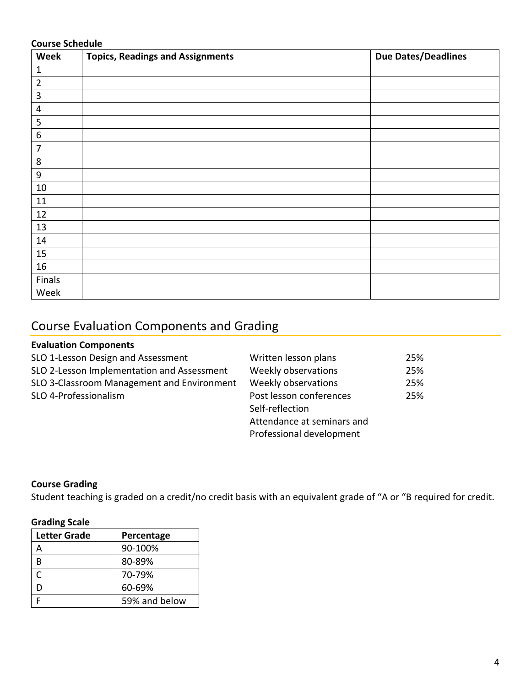### **Course Schedule**

| Week             | <b>Topics, Readings and Assignments</b> | <b>Due Dates/Deadlines</b> |
|------------------|-----------------------------------------|----------------------------|
| $\mathbf{1}$     |                                         |                            |
| $\overline{2}$   |                                         |                            |
| $\overline{3}$   |                                         |                            |
| 4                |                                         |                            |
| 5                |                                         |                            |
| $\boldsymbol{6}$ |                                         |                            |
| $\overline{7}$   |                                         |                            |
| $\,8\,$          |                                         |                            |
| $\boldsymbol{9}$ |                                         |                            |
| $10\,$           |                                         |                            |
| 11               |                                         |                            |
| 12               |                                         |                            |
| 13               |                                         |                            |
| 14               |                                         |                            |
| 15               |                                         |                            |
| 16               |                                         |                            |
| Finals           |                                         |                            |
| Week             |                                         |                            |

# Course Evaluation Components and Grading

### **Evaluation Components**

| Written lesson plans       | 25% |
|----------------------------|-----|
| Weekly observations        | 25% |
| Weekly observations        | 25% |
| Post lesson conferences    | 25% |
| Self-reflection            |     |
| Attendance at seminars and |     |
| Professional development   |     |
|                            |     |

### **Course Grading**

Student teaching is graded on a credit/no credit basis with an equivalent grade of "A or "B required for credit.

#### **Grading Scale**

| <b>Letter Grade</b> | Percentage    |  |
|---------------------|---------------|--|
|                     | 90-100%       |  |
| R                   | 80-89%        |  |
| ┌                   | 70-79%        |  |
| D                   | 60-69%        |  |
|                     | 59% and below |  |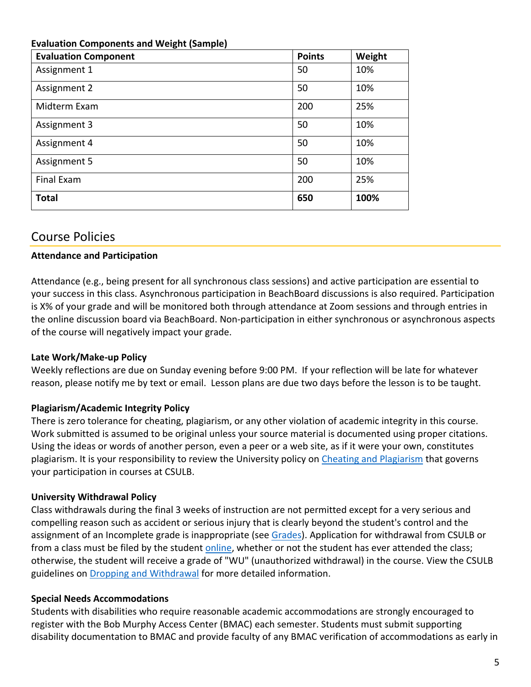| <b>Evaluation Component</b> | <b>Points</b> | Weight |
|-----------------------------|---------------|--------|
| Assignment 1                | 50            | 10%    |
| Assignment 2                | 50            | 10%    |
| Midterm Exam                | 200           | 25%    |
| Assignment 3                | 50            | 10%    |
| Assignment 4                | 50            | 10%    |
| Assignment 5                | 50            | 10%    |
| <b>Final Exam</b>           | 200           | 25%    |
| <b>Total</b>                | 650           | 100%   |

### **Evaluation Components and Weight (Sample)**

# Course Policies

### **Attendance and Participation**

Attendance (e.g., being present for all synchronous class sessions) and active participation are essential to your success in this class. Asynchronous participation in BeachBoard discussions is also required. Participation is X% of your grade and will be monitored both through attendance at Zoom sessions and through entries in the online discussion board via BeachBoard. Non-participation in either synchronous or asynchronous aspects of the course will negatively impact your grade.

### **Late Work/Make-up Policy**

Weekly reflections are due on Sunday evening before 9:00 PM. If your reflection will be late for whatever reason, please notify me by text or email. Lesson plans are due two days before the lesson is to be taught.

## **Plagiarism/Academic Integrity Policy**

There is zero tolerance for cheating, plagiarism, or any other violation of academic integrity in this course. Work submitted is assumed to be original unless your source material is documented using proper citations. Using the ideas or words of another person, even a peer or a web site, as if it were your own, constitutes plagiarism. It is your responsibility to review the University policy on [Cheating and Plagiarism](http://catalog.csulb.edu/content.php?catoid=5&navoid=369#cheating-and-plagiarism) that governs your participation in courses at CSULB.

## **University Withdrawal Policy**

Class withdrawals during the final 3 weeks of instruction are not permitted except for a very serious and compelling reason such as accident or serious injury that is clearly beyond the student's control and the assignment of an Incomplete grade is inappropriate (see [Grades\)](http://www.csulb.edu/depts/enrollment/student_academic_records/grading.html). Application for withdrawal from CSULB or from a class must be filed by the student [online,](https://www.csulb.edu/student-records/dropping-and-withdrawing) whether or not the student has ever attended the class; otherwise, the student will receive a grade of "WU" (unauthorized withdrawal) in the course. View the CSULB guidelines on [Dropping and Withdrawal](https://www.csulb.edu/student-records/dropping-and-withdrawing#:~:text=Policy,after%20separation%20from%20the%20university.) for more detailed information.

## **Special Needs Accommodations**

Students with disabilities who require reasonable academic accommodations are strongly encouraged to register with the Bob Murphy Access Center (BMAC) each semester. Students must submit supporting disability documentation to BMAC and provide faculty of any BMAC verification of accommodations as early in